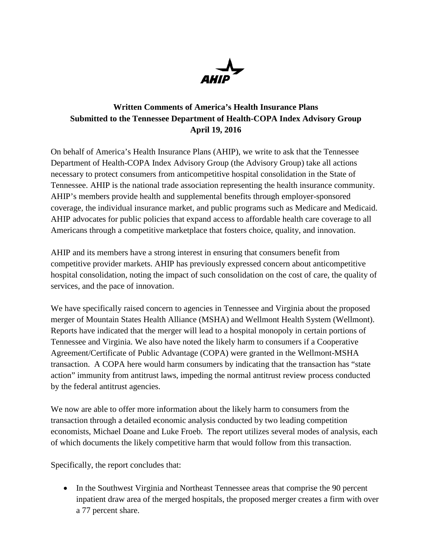

## **Written Comments of America's Health Insurance Plans Submitted to the Tennessee Department of Health-COPA Index Advisory Group April 19, 2016**

On behalf of America's Health Insurance Plans (AHIP), we write to ask that the Tennessee Department of Health-COPA Index Advisory Group (the Advisory Group) take all actions necessary to protect consumers from anticompetitive hospital consolidation in the State of Tennessee. AHIP is the national trade association representing the health insurance community. AHIP's members provide health and supplemental benefits through employer-sponsored coverage, the individual insurance market, and public programs such as Medicare and Medicaid. AHIP advocates for public policies that expand access to affordable health care coverage to all Americans through a competitive marketplace that fosters choice, quality, and innovation.

AHIP and its members have a strong interest in ensuring that consumers benefit from competitive provider markets. AHIP has previously expressed concern about anticompetitive hospital consolidation, noting the impact of such consolidation on the cost of care, the quality of services, and the pace of innovation.

We have specifically raised concern to agencies in Tennessee and Virginia about the proposed merger of Mountain States Health Alliance (MSHA) and Wellmont Health System (Wellmont). Reports have indicated that the merger will lead to a hospital monopoly in certain portions of Tennessee and Virginia. We also have noted the likely harm to consumers if a Cooperative Agreement/Certificate of Public Advantage (COPA) were granted in the Wellmont-MSHA transaction. A COPA here would harm consumers by indicating that the transaction has "state action" immunity from antitrust laws, impeding the normal antitrust review process conducted by the federal antitrust agencies.

We now are able to offer more information about the likely harm to consumers from the transaction through a detailed economic analysis conducted by two leading competition economists, Michael Doane and Luke Froeb. The report utilizes several modes of analysis, each of which documents the likely competitive harm that would follow from this transaction.

Specifically, the report concludes that:

• In the Southwest Virginia and Northeast Tennessee areas that comprise the 90 percent inpatient draw area of the merged hospitals, the proposed merger creates a firm with over a 77 percent share.